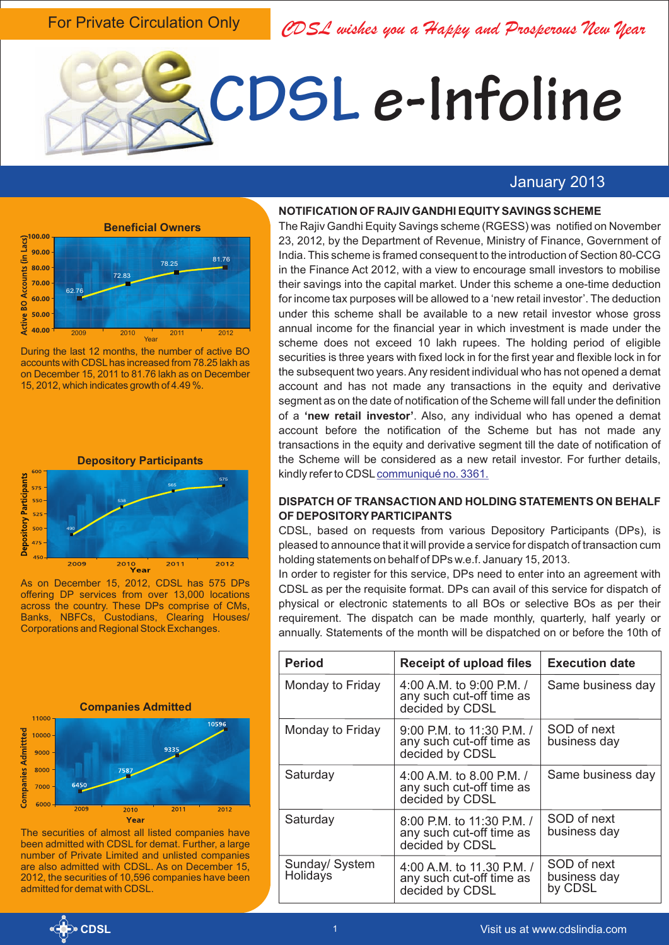For Private Circulation Only

*CDSL wishes you a Happy and Prosperous New Year*

# **CDSL e-Infoline**

# January 2013



During the last 12 months, the number of active BO accounts with CDSLhas increased from 78.25 lakh as on December 15, 2011 to 81.76 lakh as on December 15, 2012, which indicates growth of 4.49 %.



As on December 15, 2012, CDSL has 575 DPs offering DP services from over 13,000 locations across the country. These DPs comprise of CMs, Banks, NBFCs, Custodians, Clearing Houses/ Corporations and Regional Stock Exchanges.



The securities of almost all listed companies have been admitted with CDSL for demat. Further, a large number of Private Limited and unlisted companies are also admitted with CDSL. As on December 15, 2012, the securities of 10,596 companies have been admitted for demat with CDSL.

#### **NOTIFICATION OF RAJIV GANDHI EQUITYSAVINGS SCHEME**

The Rajiv Gandhi Equity Savings scheme (RGESS) was notified on November 23, 2012, by the Department of Revenue, Ministry of Finance, Government of India. This scheme is framed consequent to the introduction of Section 80-CCG in the Finance Act 2012, with a view to encourage small investors to mobilise their savings into the capital market. Under this scheme a one-time deduction for income tax purposes will be allowed to a 'new retail investor'. The deduction under this scheme shall be available to a new retail investor whose gross annual income for the financial year in which investment is made under the scheme does not exceed 10 lakh rupees. The holding period of eligible securities is three years with fixed lock in for the first year and flexible lock in for the subsequent two years. Any resident individual who has not opened a demat account and has not made any transactions in the equity and derivative segment as on the date of notification of the Scheme will fall under the definition of a **'new retail investor'**. Also, any individual who has opened a demat account before the notification of the Scheme but has not made any transactions in the equity and derivative segment till the date of notification of the Scheme will be considered as a new retail investor. For further details, kindly refer to CDSL [communiqué no. 3361.](http://www.cdslindia.com/communiques/dp/DP-3361-SEBI-Circular-06122012.pdf)

## **DISPATCH OF TRANSACTION AND HOLDING STATEMENTS ON BEHALF OF DEPOSITORYPARTICIPANTS**

CDSL, based on requests from various Depository Participants (DPs), is pleased to announce that it will provide a service for dispatch of transaction cum holding statements on behalf of DPs w.e.f. January 15, 2013.

In order to register for this service, DPs need to enter into an agreement with CDSL as per the requisite format. DPs can avail of this service for dispatch of physical or electronic statements to all BOs or selective BOs as per their requirement. The dispatch can be made monthly, quarterly, half yearly or annually. Statements of the month will be dispatched on or before the 10th of

| <b>Period</b>              | <b>Receipt of upload files</b>                                           | <b>Execution date</b>                  |
|----------------------------|--------------------------------------------------------------------------|----------------------------------------|
| Monday to Friday           | 4:00 A.M. to 9:00 P.M. /<br>any such cut-off time as<br>decided by CDSL  | Same business day                      |
| Monday to Friday           | 9:00 P.M. to 11:30 P.M. /<br>any such cut-off time as<br>decided by CDSL | SOD of next<br>business day            |
| Saturday                   | 4:00 A.M. to 8.00 P.M. /<br>any such cut-off time as<br>decided by CDSL  | Same business day                      |
| Saturday                   | 8:00 P.M. to 11:30 P.M. /<br>any such cut-off time as<br>decided by CDSL | SOD of next<br>business day            |
| Sunday/ System<br>Holidays | 4:00 A.M. to 11.30 P.M. /<br>any such cut-off time as<br>decided by CDSL | SOD of next<br>business day<br>by CDSL |

**CDSL**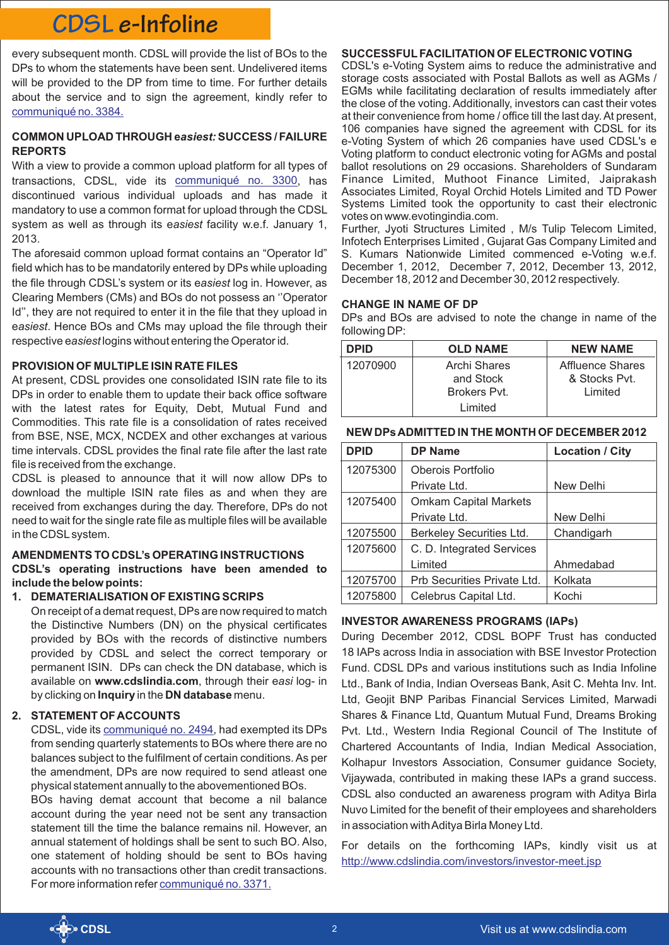# **CDSL e-Infoline**

every subsequent month. CDSL will provide the list of BOs to the DPs to whom the statements have been sent. Undelivered items will be provided to the DP from time to time. For further details about the service and to sign the agreement, kindly refer to [communiqué no. 3384.](http://www.cdslindia.com/communiques/dp/DP-3384-Dispatch-of-Transaction-and-Holding-Statements-to-BOs.pdf)

## **COMMON UPLOAD THROUGH e***asiest:* **SUCCESS / FAILURE REPORTS**

With a view to provide a common upload platform for all types of transactions, CDSL, vide its communiqué no. 3300, has discontinued various individual uploads and has made it mandatory to use a common format for upload through the CDSL system as well as through its e*asiest* facility w.e.f. January 1, 2013.

The aforesaid common upload format contains an "Operator Id" field which has to be mandatorily entered by DPs while uploading the file through CDSL's system or its e*asiest* log in. However, as Clearing Members (CMs) and BOs do not possess an ''Operator Id'', they are not required to enter it in the file that they upload in e*asiest*. Hence BOs and CMs may upload the file through their respective e*asiest*logins without entering the Operator id.

## **PROVISION OF MULTIPLE ISIN RATE FILES**

At present, CDSL provides one consolidated ISIN rate file to its DPs in order to enable them to update their back office software with the latest rates for Equity, Debt, Mutual Fund and Commodities. This rate file is a consolidation of rates received from BSE, NSE, MCX, NCDEX and other exchanges at various time intervals. CDSL provides the final rate file after the last rate file is received from the exchange.

CDSL is pleased to announce that it will now allow DPs to download the multiple ISIN rate files as and when they are received from exchanges during the day. Therefore, DPs do not need to wait for the single rate file as multiple files will be available in the CDSLsystem.

## **AMENDMENTS TO CDSL's OPERATING INSTRUCTIONS**

**CDSL's operating instructions have been amended to include the below points:**

**1. DEMATERIALISATION OF EXISTING SCRIPS**

On receipt of a demat request, DPs are now required to match the Distinctive Numbers (DN) on the physical certificates provided by BOs with the records of distinctive numbers provided by CDSL and select the correct temporary or permanent ISIN. DPs can check the DN database, which is available on **www.cdslindia.com**, through their e*asi* log- in by clicking on **Inquiry** inthe **DN database** menu.

## **2. STATEMENT OF ACCOUNTS**

CDSL, vide its communiqué no. 2494, had exempted its DPs from sending quarterly statements to BOs where there are no balances subject to the fulfilment of certain conditions. As per the amendment, DPs are now required to send atleast one physical statement annually to the abovementioned BOs.

BOs having demat account that become a nil balance account during the year need not be sent any transaction statement till the time the balance remains nil. However, an annual statement of holdings shall be sent to such BO. Also, one statement of holding should be sent to BOs having accounts with no transactions other than credit transactions. For more information refer [communiqué no. 3371.](http://www.cdslindia.com/communiques/dp/DP-3371-Amendments-CDSL-DP-Op-Inst-Chapt-4-.4.4.7%20and%20Chapt-16-16.7.pdf)

# **SUCCESSFULFACILITATION OF ELECTRONIC VOTING**

CDSL's e-Voting System aims to reduce the administrative and storage costs associated with Postal Ballots as well as AGMs / EGMs while facilitating declaration of results immediately after the close of the voting. Additionally, investors can cast their votes at their convenience from home / office till the last day. At present, 106 companies have signed the agreement with CDSL for its e-Voting System of which 26 companies have used CDSL's e Voting platform to conduct electronic voting for AGMs and postal ballot resolutions on 29 occasions. Shareholders of Sundaram Finance Limited, Muthoot Finance Limited, Jaiprakash Associates Limited, Royal Orchid Hotels Limited and TD Power Systems Limited took the opportunity to cast their electronic votes on www.evotingindia.com.

Further, Jyoti Structures Limited , M/s Tulip Telecom Limited, Infotech Enterprises Limited , Gujarat Gas Company Limited and S. Kumars Nationwide Limited commenced e-Voting w.e.f. December 1, 2012, December 7, 2012, December 13, 2012, December 18, 2012 and December 30, 2012 respectively.

## **CHANGE IN NAME OF DP**

DPs and BOs are advised to note the change in name of the following DP:

| <b>DPID</b> | <b>OLD NAME</b> | <b>NEW NAME</b>  |
|-------------|-----------------|------------------|
| 12070900    | Archi Shares    | Affluence Shares |
|             | and Stock       | & Stocks Pvt.    |
|             | Brokers Pvt.    | Limited          |
|             | Limited         |                  |

|  | NEW DPs ADMITTED IN THE MONTH OF DECEMBER 2012 |  |  |
|--|------------------------------------------------|--|--|
|--|------------------------------------------------|--|--|

| <b>DPID</b> | <b>DP Name</b>               | <b>Location / City</b> |
|-------------|------------------------------|------------------------|
| 12075300    | Oberois Portfolio            |                        |
|             | Private Ltd.                 | New Delhi              |
| 12075400    | <b>Omkam Capital Markets</b> |                        |
|             | Private Ltd.                 | New Delhi              |
| 12075500    | Berkeley Securities Ltd.     | Chandigarh             |
| 12075600    | C. D. Integrated Services    |                        |
|             | Limited                      | Ahmedabad              |
| 12075700    | Prb Securities Private Ltd.  | Kolkata                |
| 12075800    | Celebrus Capital Ltd.        | Kochi                  |

## **INVESTOR AWARENESS PROGRAMS (IAPs)**

During December 2012, CDSL BOPF Trust has conducted 18 IAPs across India in association with BSE Investor Protection Fund. CDSL DPs and various institutions such as India Infoline Ltd., Bank of India, Indian Overseas Bank, Asit C. Mehta Inv. Int. Ltd, Geojit BNP Paribas Financial Services Limited, Marwadi Shares & Finance Ltd, Quantum Mutual Fund, Dreams Broking Pvt. Ltd., Western India Regional Council of The Institute of Chartered Accountants of India, Indian Medical Association, Kolhapur Investors Association, Consumer guidance Society, Vijaywada, contributed in making these IAPs a grand success. CDSL also conducted an awareness program with Aditya Birla Nuvo Limited for the benefit of their employees and shareholders in association with Aditya Birla Money Ltd.

For details on the forthcoming IAPs, kindly visit us at <http://www.cdslindia.com/investors/investor-meet.jsp>